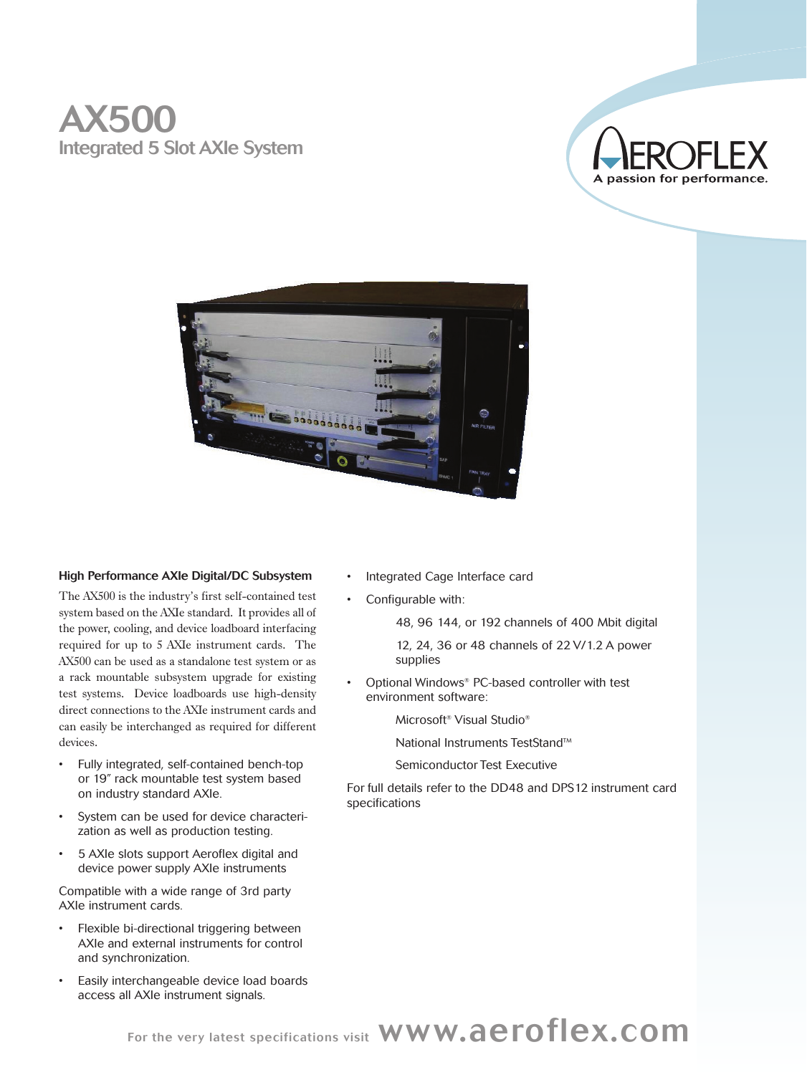# AX500 Integrated 5 Slot AXIe System





#### High Performance AXIe Digital/DC Subsystem

The AX500 is the industry's first self-contained test system based on the AXIe standard. It provides all of the power, cooling, and device loadboard interfacing required for up to 5 AXIe instrument cards. The AX500 can be used as a standalone test system or as a rack mountable subsystem upgrade for existing test systems. Device loadboards use high-density direct connections to the AXIe instrument cards and can easily be interchanged as required for different devices.

- Fully integrated, self-contained bench-top or 19" rack mountable test system based on industry standard AXIe.
- System can be used for device characterization as well as production testing.
- 5 AXIe slots support Aeroflex digital and device power supply AXIe instruments

Compatible with a wide range of 3rd party AXIe instrument cards.

- Flexible bi-directional triggering between AXIe and external instruments for control and synchronization.
- Easily interchangeable device load boards access all AXIe instrument signals.
- Integrated Cage Interface card
- Configurable with:

48, 96 144, or 192 channels of 400 Mbit digital

12, 24, 36 or 48 channels of 22 V/1.2 A power supplies

• Optional Windows® PC-based controller with test environment software:

Microsoft® Visual Studio®

- National Instruments TestStand™
- Semiconductor Test Executive

For full details refer to the DD48 and DPS12 instrument card specifications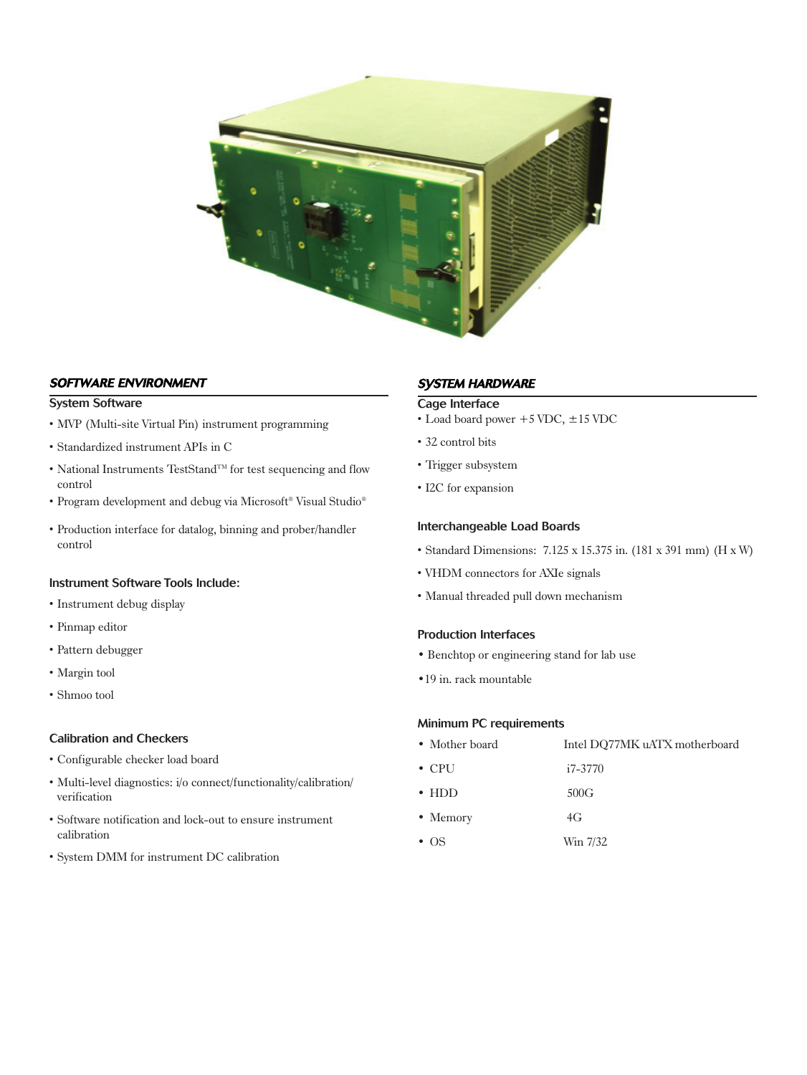

## SOFTWARE ENVIRONMENT

#### System Software

- MVP (Multi-site Virtual Pin) instrument programming
- Standardized instrument APIs in C
- National Instruments TestStand<sup>TM</sup> for test sequencing and flow control
- Program development and debug via Microsoft® Visual Studio®
- Production interface for datalog, binning and prober/handler control

#### Instrument Software Tools Include:

- Instrument debug display
- Pinmap editor
- Pattern debugger
- Margin tool
- Shmoo tool

#### Calibration and Checkers

- Configurable checker load board
- Multi-level diagnostics: i/o connect/functionality/calibration/ verification
- Software notification and lock-out to ensure instrument calibration
- System DMM for instrument DC calibration

#### SYSTEM HARDWARE

#### Cage Interface

- Load board power +5 VDC, ±15 VDC
- 32 control bits
- Trigger subsystem
- I2C for expansion

#### Interchangeable Load Boards

- Standard Dimensions: 7.125 x 15.375 in. (181 x 391 mm) (H x W)
- VHDM connectors for AXIe signals
- Manual threaded pull down mechanism

#### Production Interfaces

- Benchtop or engineering stand for lab use
- •19 in. rack mountable

#### Minimum PC requirements

| • Mother board | Intel DO77MK uATX motherboard |
|----------------|-------------------------------|
| $\cdot$ CPU    | i7-3770                       |
| $\cdot$ HDD    | 500G                          |
| • Memory       | 4G                            |
| $\bullet$ OS   | Win 7/32                      |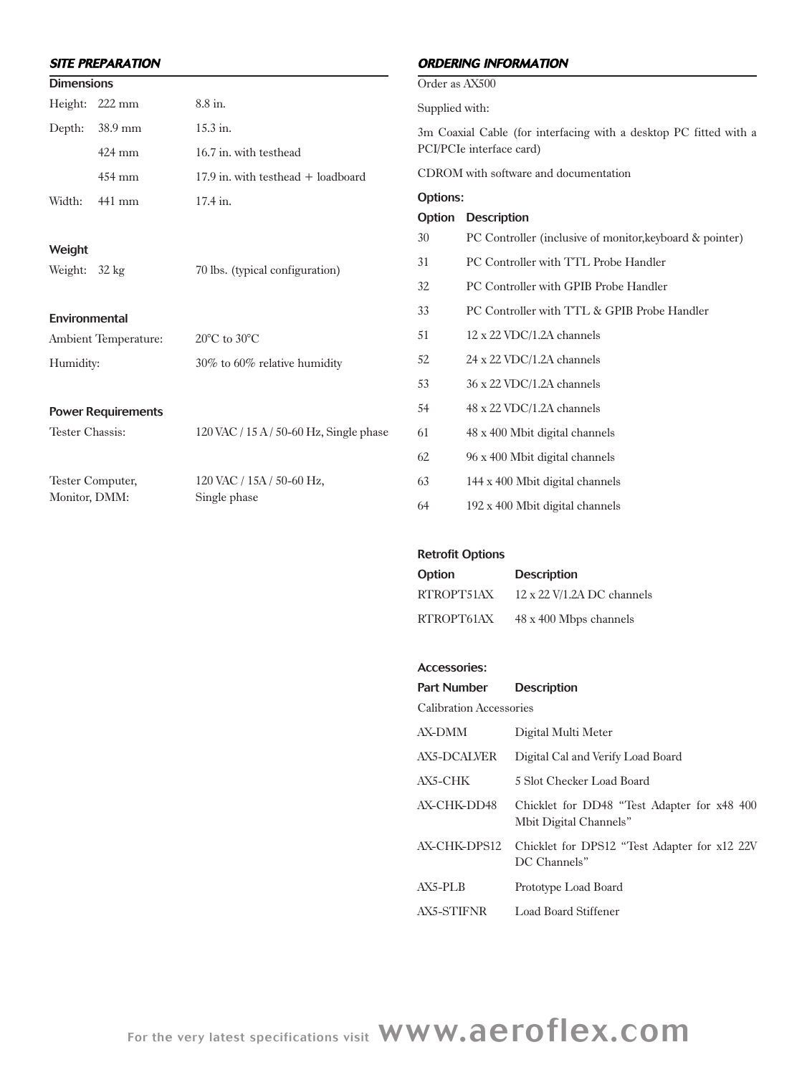## SITE PREPARATION

| <b>Dimensions</b> |                          |                                        |  |
|-------------------|--------------------------|----------------------------------------|--|
|                   | Height: 222 mm           | 8.8 in.                                |  |
|                   | Depth: $38.9 \text{ mm}$ | $15.3$ in.                             |  |
|                   | $424 \text{ mm}$         | 16.7 in, with testhead                 |  |
|                   | $454 \text{ mm}$         | $17.9$ in. with testhead $+$ loadboard |  |
| Width:            | $441$ mm                 | 17.4 in.                               |  |

#### Weight

Environmental

| -----------------         |                                    |  |
|---------------------------|------------------------------------|--|
| Ambient Temperature:      | $20^{\circ}$ C to $30^{\circ}$ C   |  |
| Humidity:                 | $30\%$ to $60\%$ relative humidity |  |
| <b>Power Requirements</b> |                                    |  |
|                           |                                    |  |

| <b>Power Requirements</b> |                                               |
|---------------------------|-----------------------------------------------|
| Tester Chassis:           | $120$ VAC / $15$ A / $50-60$ Hz, Single phase |
|                           |                                               |
| Tester Computer,          | $120$ VAC $/ 15A / 50-60$ Hz,                 |
| Monitor, DMM:             | Single phase                                  |

70 lbs. (typical configuration)

# ORDERING INFORMATION

Order as AX500

Supplied with:

3m Coaxial Cable (for interfacing with a desktop PC fitted with a PCI/PCIe interface card)

CDROM with software and documentation

### Options:

#### Option Description

- 30 PC Controller (inclusive of monitor,keyboard & pointer) 31 PC Controller with TTL Probe Handler
- 
- 32 PC Controller with GPIB Probe Handler
- 33 PC Controller with TTL & GPIB Probe Handler
- 51 12 x 22 VDC/1.2A channels
- 52 24 x 22 VDC/1.2A channels
- 53 36 x 22 VDC/1.2A channels
- 54 48 x 22 VDC/1.2A channels
- 61 48 x 400 Mbit digital channels
- 62 96 x 400 Mbit digital channels
- 63 144 x 400 Mbit digital channels
- 64 192 x 400 Mbit digital channels

#### Retrofit Options

| Option     | <b>Description</b>                |
|------------|-----------------------------------|
| RTROPT51AX | $12 \times 22$ V/1.2A DC channels |
| RTROPT61AX | 48 x 400 Mbps channels            |

#### Accessories:

| <b>Part Number</b>             | <b>Description</b>                                                    |  |
|--------------------------------|-----------------------------------------------------------------------|--|
| <b>Calibration Accessories</b> |                                                                       |  |
| AX-DMM                         | Digital Multi Meter                                                   |  |
| AX5-DCALVER                    | Digital Cal and Verify Load Board                                     |  |
| AX5-CHK                        | 5 Slot Checker Load Board                                             |  |
| AX-CHK-DD48                    | Chicklet for DD48 "Test Adapter for x48 400<br>Mbit Digital Channels" |  |
| AX-CHK-DPS12                   | Chicklet for DPS12 "Test Adapter for x12 22V<br>DC Channels"          |  |
| $AX5-PI$ B                     | Prototype Load Board                                                  |  |
| AX5-STIFNR                     | Load Board Stiffener                                                  |  |